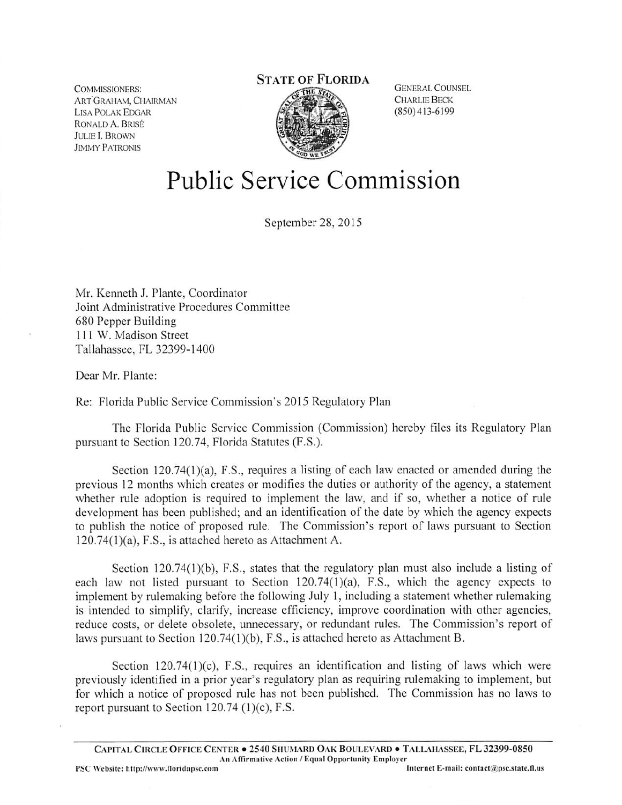**COMMISSIONERS:** ART GRAHAM, CHAIRMAN **LISA POLAK EDGAR** RONALD A. BRISÉ **JULIE I. BROWN JIMMY PATRONIS** 

# **STATE OF FLORIDA**



**GENERAL COUNSEL CHARLIE BECK** (850)413-6199

# Public Service Commission

September 28, 2015

Mr. Kenneth J. Plante, Coordinator Joint Administrative Procedures Committee 680 Pepper Building 111 W. Madison Street Tallahassee, FL 32399-1400

Dear Mr. Plante:

Re: Florida Public Service Commission's 2015 Regulatory Plan

The Florida Public Service Commission (Commission) hereby files its Regulatory Plan pursuant to Section 120.74, Florida Statutes (F.S.).

Section  $120.74(1)(a)$ , F.S., requires a listing of each law enacted or amended during the previous 12 months which creates or modifies the duties or authority of the agency, a statement whether rule adoption is required to implement the law, and if so, whether a notice of rule development has been published; and an identification of the date by which the agency expects to publish the notice of proposed rule. The Commission's report of laws pursuant to Section 120.74(l)(a), F.S., is attached hereto as Attachment A.

Section 120.74(1)(b), F.S., states that the regulatory plan must also include a listing of each law not listed pursuant to Section 120.74(l)(a), F.S., which the agency expects to implement by rulemaking before the following July 1, including a statement whether rulemaking is intended to simplify, clarify, increase efficiency, improve coordination with other agencies, reduce costs, or delete obsolete, unnecessary, or redundant rules. The Commission's report of laws pursuant to Section 120.74(1)(b), F.S., is attached hereto as Attachment B.

Section 120.74(1)(c), F.S., requires an identification and listing of laws which were previously identified in a prior year's regulatory plan as requiring rulemaking to implement, but for which a notice of proposed rule has not been published. The Commission has no laws to report pursuant to Section  $120.74$  (1)(c), F.S.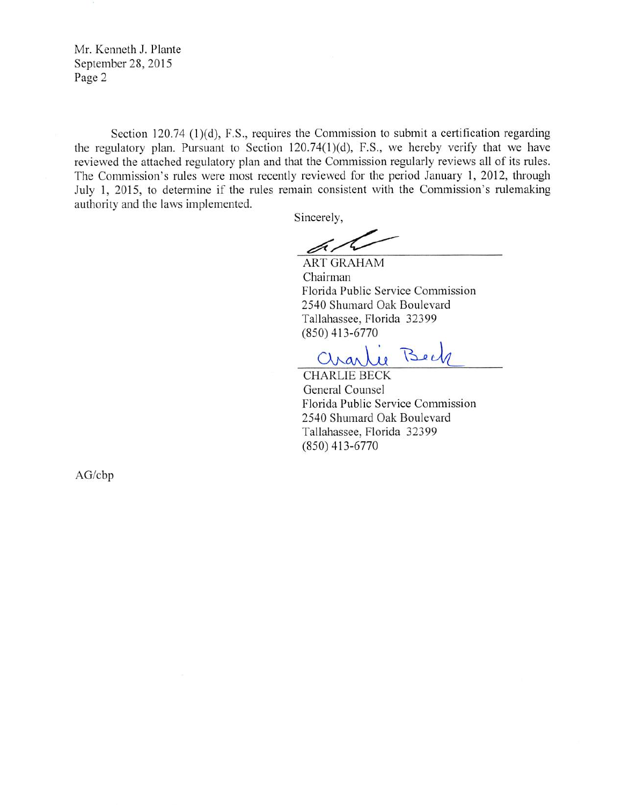Mr. Kenneth J. Plante September 28, 2015 Page 2

Section 120.74 (1)(d), F.S., requires the Commission to submit a certification regarding the regulatory plan. Pursuant to Section  $120.74(1)(d)$ , F.S., we hereby verify that we have reviewed the attached regulatory plan and that the Commission regularly reviews all of its rules. The Commission's rules were most recently reviewed for the period January 1, 2012, through July 1, 2015, to determine if the rules remain consistent with the Commission's rulemaking authority and the laws implemented.

Sincerely,

þ,

ART GRAHAM Chairman Florida Public Service Commission 2540 Shumard Oak Boulevard Tallahassee, Florida 32399 (850)413-6770

ie Beck Chan

CHARLIE BECK General Counsel Florida Public Service Commission 2540 Shumard Oak Boulevard Tallahassee, Florida 32399 (850)413-6770

AG/cbp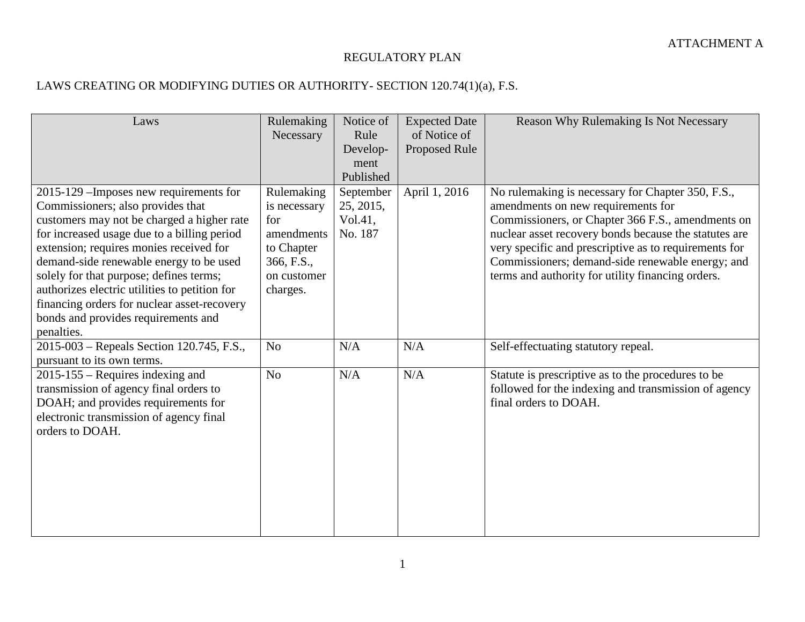## REGULATORY PLAN

# LAWS CREATING OR MODIFYING DUTIES OR AUTHORITY- SECTION 120.74(1)(a), F.S.

| Laws                                                                                                                                                                                                                                                                                                                                                                                                                                                            | Rulemaking<br>Necessary                                                                                | Notice of<br>Rule<br>Develop-<br>ment<br>Published | <b>Expected Date</b><br>of Notice of<br>Proposed Rule | <b>Reason Why Rulemaking Is Not Necessary</b>                                                                                                                                                                                                                                                                                                                           |
|-----------------------------------------------------------------------------------------------------------------------------------------------------------------------------------------------------------------------------------------------------------------------------------------------------------------------------------------------------------------------------------------------------------------------------------------------------------------|--------------------------------------------------------------------------------------------------------|----------------------------------------------------|-------------------------------------------------------|-------------------------------------------------------------------------------------------------------------------------------------------------------------------------------------------------------------------------------------------------------------------------------------------------------------------------------------------------------------------------|
| 2015-129 – Imposes new requirements for<br>Commissioners; also provides that<br>customers may not be charged a higher rate<br>for increased usage due to a billing period<br>extension; requires monies received for<br>demand-side renewable energy to be used<br>solely for that purpose; defines terms;<br>authorizes electric utilities to petition for<br>financing orders for nuclear asset-recovery<br>bonds and provides requirements and<br>penalties. | Rulemaking<br>is necessary<br>for<br>amendments<br>to Chapter<br>366, F.S.,<br>on customer<br>charges. | September<br>25, 2015,<br>Vol.41,<br>No. 187       | April 1, 2016                                         | No rulemaking is necessary for Chapter 350, F.S.,<br>amendments on new requirements for<br>Commissioners, or Chapter 366 F.S., amendments on<br>nuclear asset recovery bonds because the statutes are<br>very specific and prescriptive as to requirements for<br>Commissioners; demand-side renewable energy; and<br>terms and authority for utility financing orders. |
| 2015-003 – Repeals Section 120.745, F.S.,<br>pursuant to its own terms.                                                                                                                                                                                                                                                                                                                                                                                         | N <sub>o</sub>                                                                                         | N/A                                                | N/A                                                   | Self-effectuating statutory repeal.                                                                                                                                                                                                                                                                                                                                     |
| $2015 - 155$ – Requires indexing and<br>transmission of agency final orders to<br>DOAH; and provides requirements for<br>electronic transmission of agency final<br>orders to DOAH.                                                                                                                                                                                                                                                                             | N <sub>o</sub>                                                                                         | N/A                                                | N/A                                                   | Statute is prescriptive as to the procedures to be<br>followed for the indexing and transmission of agency<br>final orders to DOAH.                                                                                                                                                                                                                                     |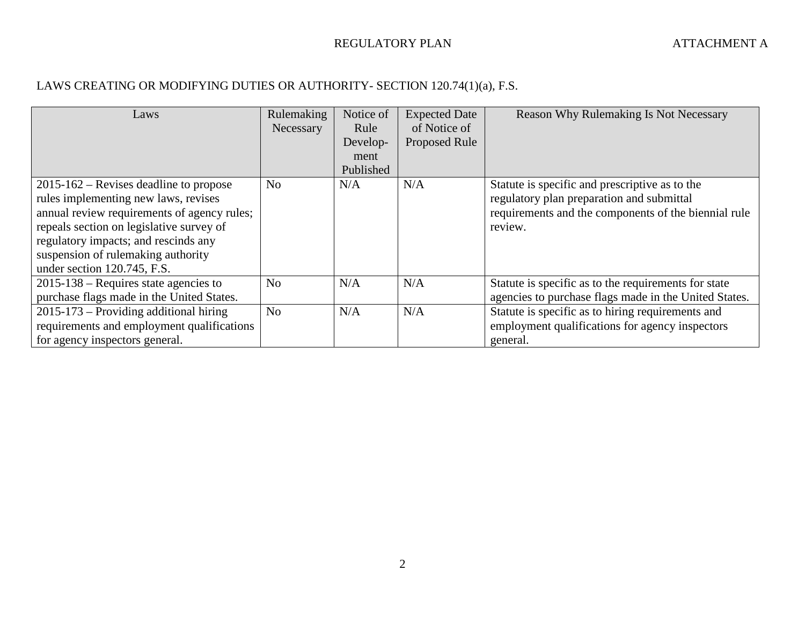## LAWS CREATING OR MODIFYING DUTIES OR AUTHORITY- SECTION 120.74(1)(a), F.S.

| Laws                                                                                                                                                                                                                                                                                       | Rulemaking     | Notice of | <b>Expected Date</b> | <b>Reason Why Rulemaking Is Not Necessary</b>                                                                                                                  |
|--------------------------------------------------------------------------------------------------------------------------------------------------------------------------------------------------------------------------------------------------------------------------------------------|----------------|-----------|----------------------|----------------------------------------------------------------------------------------------------------------------------------------------------------------|
|                                                                                                                                                                                                                                                                                            | Necessary      | Rule      | of Notice of         |                                                                                                                                                                |
|                                                                                                                                                                                                                                                                                            |                | Develop-  | <b>Proposed Rule</b> |                                                                                                                                                                |
|                                                                                                                                                                                                                                                                                            |                | ment      |                      |                                                                                                                                                                |
|                                                                                                                                                                                                                                                                                            |                | Published |                      |                                                                                                                                                                |
| $2015 - 162$ – Revises deadline to propose<br>rules implementing new laws, revises<br>annual review requirements of agency rules;<br>repeals section on legislative survey of<br>regulatory impacts; and rescinds any<br>suspension of rulemaking authority<br>under section 120.745, F.S. | N <sub>o</sub> | N/A       | N/A                  | Statute is specific and prescriptive as to the<br>regulatory plan preparation and submittal<br>requirements and the components of the biennial rule<br>review. |
| $2015-138$ – Requires state agencies to                                                                                                                                                                                                                                                    | N <sub>o</sub> | N/A       | N/A                  | Statute is specific as to the requirements for state                                                                                                           |
| purchase flags made in the United States.                                                                                                                                                                                                                                                  |                |           |                      | agencies to purchase flags made in the United States.                                                                                                          |
| $2015 - 173$ – Providing additional hiring                                                                                                                                                                                                                                                 | N <sub>o</sub> | N/A       | N/A                  | Statute is specific as to hiring requirements and                                                                                                              |
| requirements and employment qualifications                                                                                                                                                                                                                                                 |                |           |                      | employment qualifications for agency inspectors                                                                                                                |
| for agency inspectors general.                                                                                                                                                                                                                                                             |                |           |                      | general.                                                                                                                                                       |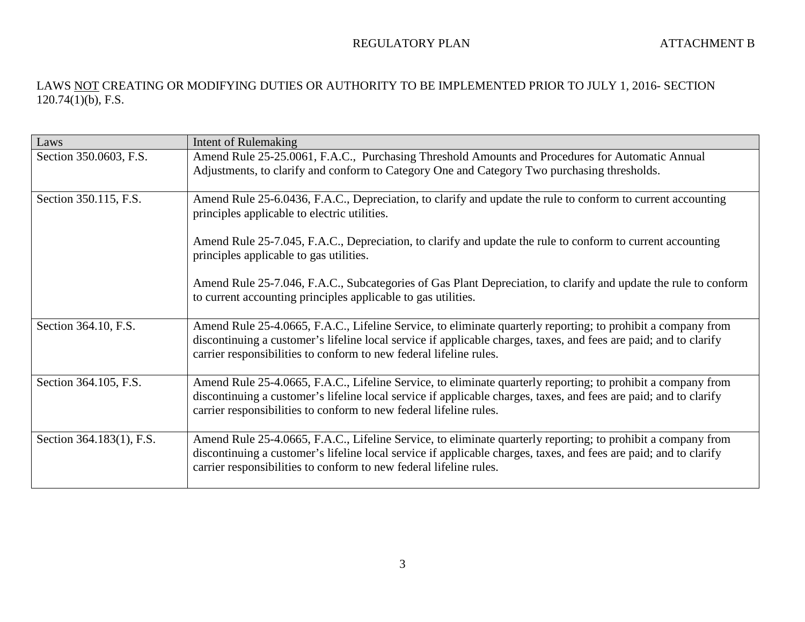| Laws                     | Intent of Rulemaking                                                                                                                                                                                                                                                                                    |
|--------------------------|---------------------------------------------------------------------------------------------------------------------------------------------------------------------------------------------------------------------------------------------------------------------------------------------------------|
| Section 350.0603, F.S.   | Amend Rule 25-25.0061, F.A.C., Purchasing Threshold Amounts and Procedures for Automatic Annual<br>Adjustments, to clarify and conform to Category One and Category Two purchasing thresholds.                                                                                                          |
| Section 350.115, F.S.    | Amend Rule 25-6.0436, F.A.C., Depreciation, to clarify and update the rule to conform to current accounting<br>principles applicable to electric utilities.                                                                                                                                             |
|                          | Amend Rule 25-7.045, F.A.C., Depreciation, to clarify and update the rule to conform to current accounting<br>principles applicable to gas utilities.                                                                                                                                                   |
|                          | Amend Rule 25-7.046, F.A.C., Subcategories of Gas Plant Depreciation, to clarify and update the rule to conform<br>to current accounting principles applicable to gas utilities.                                                                                                                        |
| Section 364.10, F.S.     | Amend Rule 25-4.0665, F.A.C., Lifeline Service, to eliminate quarterly reporting; to prohibit a company from<br>discontinuing a customer's lifeline local service if applicable charges, taxes, and fees are paid; and to clarify<br>carrier responsibilities to conform to new federal lifeline rules. |
| Section 364.105, F.S.    | Amend Rule 25-4.0665, F.A.C., Lifeline Service, to eliminate quarterly reporting; to prohibit a company from<br>discontinuing a customer's lifeline local service if applicable charges, taxes, and fees are paid; and to clarify<br>carrier responsibilities to conform to new federal lifeline rules. |
| Section 364.183(1), F.S. | Amend Rule 25-4.0665, F.A.C., Lifeline Service, to eliminate quarterly reporting; to prohibit a company from<br>discontinuing a customer's lifeline local service if applicable charges, taxes, and fees are paid; and to clarify<br>carrier responsibilities to conform to new federal lifeline rules. |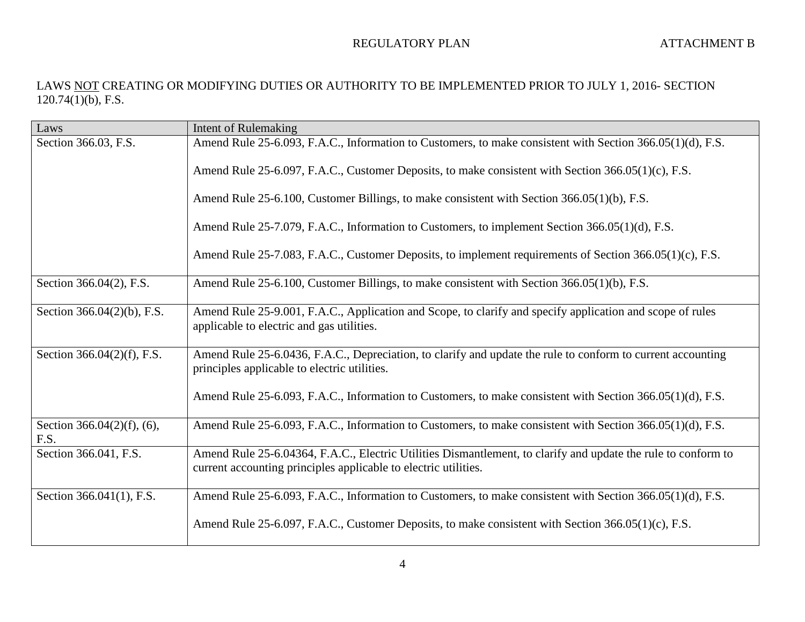| Laws                                  | <b>Intent of Rulemaking</b>                                                                                                                                                      |
|---------------------------------------|----------------------------------------------------------------------------------------------------------------------------------------------------------------------------------|
| Section 366.03, F.S.                  | Amend Rule 25-6.093, F.A.C., Information to Customers, to make consistent with Section 366.05(1)(d), F.S.                                                                        |
|                                       | Amend Rule 25-6.097, F.A.C., Customer Deposits, to make consistent with Section 366.05(1)(c), F.S.                                                                               |
|                                       | Amend Rule 25-6.100, Customer Billings, to make consistent with Section 366.05(1)(b), F.S.                                                                                       |
|                                       | Amend Rule 25-7.079, F.A.C., Information to Customers, to implement Section 366.05(1)(d), F.S.                                                                                   |
|                                       | Amend Rule 25-7.083, F.A.C., Customer Deposits, to implement requirements of Section 366.05(1)(c), F.S.                                                                          |
| Section 366.04(2), F.S.               | Amend Rule 25-6.100, Customer Billings, to make consistent with Section 366.05(1)(b), F.S.                                                                                       |
| Section 366.04(2)(b), F.S.            | Amend Rule 25-9.001, F.A.C., Application and Scope, to clarify and specify application and scope of rules<br>applicable to electric and gas utilities.                           |
| Section 366.04(2)(f), F.S.            | Amend Rule 25-6.0436, F.A.C., Depreciation, to clarify and update the rule to conform to current accounting<br>principles applicable to electric utilities.                      |
|                                       | Amend Rule 25-6.093, F.A.C., Information to Customers, to make consistent with Section 366.05(1)(d), F.S.                                                                        |
| Section $366.04(2)(f)$ , (6),<br>F.S. | Amend Rule 25-6.093, F.A.C., Information to Customers, to make consistent with Section 366.05(1)(d), F.S.                                                                        |
| Section 366.041, F.S.                 | Amend Rule 25-6.04364, F.A.C., Electric Utilities Dismantlement, to clarify and update the rule to conform to<br>current accounting principles applicable to electric utilities. |
| Section 366.041(1), F.S.              | Amend Rule 25-6.093, F.A.C., Information to Customers, to make consistent with Section 366.05(1)(d), F.S.                                                                        |
|                                       | Amend Rule 25-6.097, F.A.C., Customer Deposits, to make consistent with Section 366.05(1)(c), F.S.                                                                               |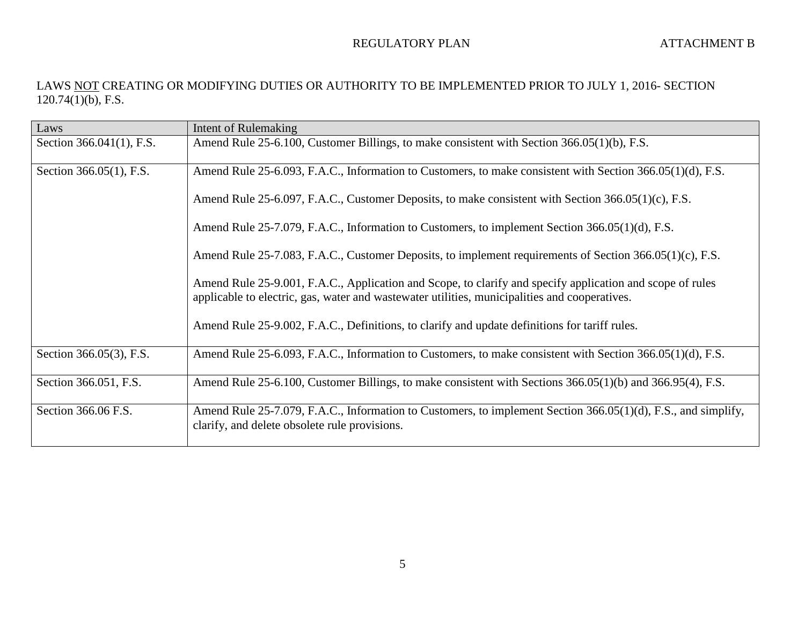| Laws                     | Intent of Rulemaking                                                                                                                                                                                       |
|--------------------------|------------------------------------------------------------------------------------------------------------------------------------------------------------------------------------------------------------|
| Section 366.041(1), F.S. | Amend Rule 25-6.100, Customer Billings, to make consistent with Section 366.05(1)(b), F.S.                                                                                                                 |
| Section 366.05(1), F.S.  | Amend Rule 25-6.093, F.A.C., Information to Customers, to make consistent with Section 366.05(1)(d), F.S.                                                                                                  |
|                          | Amend Rule 25-6.097, F.A.C., Customer Deposits, to make consistent with Section 366.05(1)(c), F.S.                                                                                                         |
|                          | Amend Rule 25-7.079, F.A.C., Information to Customers, to implement Section 366.05(1)(d), F.S.                                                                                                             |
|                          | Amend Rule 25-7.083, F.A.C., Customer Deposits, to implement requirements of Section 366.05(1)(c), F.S.                                                                                                    |
|                          | Amend Rule 25-9.001, F.A.C., Application and Scope, to clarify and specify application and scope of rules<br>applicable to electric, gas, water and wastewater utilities, municipalities and cooperatives. |
|                          | Amend Rule 25-9.002, F.A.C., Definitions, to clarify and update definitions for tariff rules.                                                                                                              |
| Section 366.05(3), F.S.  | Amend Rule 25-6.093, F.A.C., Information to Customers, to make consistent with Section 366.05(1)(d), F.S.                                                                                                  |
| Section 366.051, F.S.    | Amend Rule 25-6.100, Customer Billings, to make consistent with Sections 366.05(1)(b) and 366.95(4), F.S.                                                                                                  |
| Section 366.06 F.S.      | Amend Rule 25-7.079, F.A.C., Information to Customers, to implement Section 366.05(1)(d), F.S., and simplify,<br>clarify, and delete obsolete rule provisions.                                             |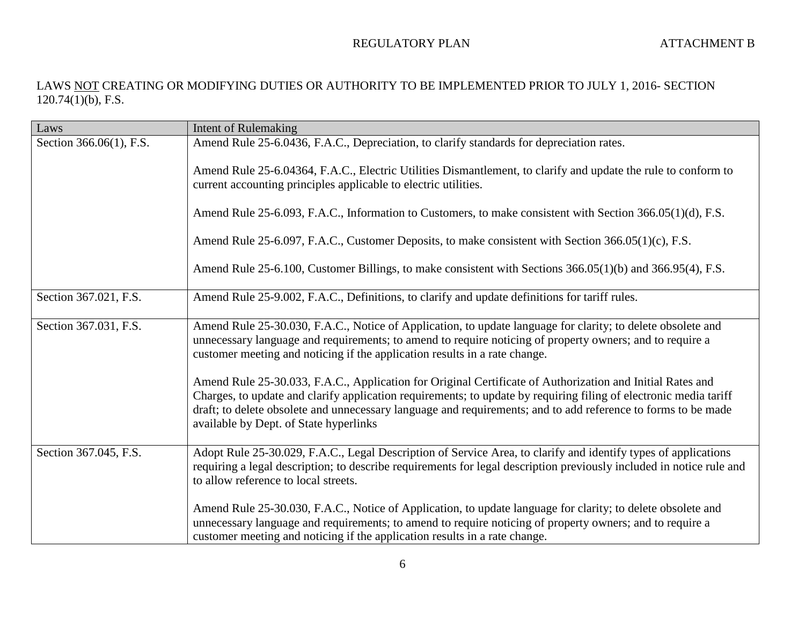| Laws                    | <b>Intent of Rulemaking</b>                                                                                                                                                                                                                                                                                                                                                               |
|-------------------------|-------------------------------------------------------------------------------------------------------------------------------------------------------------------------------------------------------------------------------------------------------------------------------------------------------------------------------------------------------------------------------------------|
| Section 366.06(1), F.S. | Amend Rule 25-6.0436, F.A.C., Depreciation, to clarify standards for depreciation rates.                                                                                                                                                                                                                                                                                                  |
|                         | Amend Rule 25-6.04364, F.A.C., Electric Utilities Dismantlement, to clarify and update the rule to conform to<br>current accounting principles applicable to electric utilities.                                                                                                                                                                                                          |
|                         | Amend Rule 25-6.093, F.A.C., Information to Customers, to make consistent with Section 366.05(1)(d), F.S.                                                                                                                                                                                                                                                                                 |
|                         | Amend Rule 25-6.097, F.A.C., Customer Deposits, to make consistent with Section 366.05(1)(c), F.S.                                                                                                                                                                                                                                                                                        |
|                         | Amend Rule 25-6.100, Customer Billings, to make consistent with Sections 366.05(1)(b) and 366.95(4), F.S.                                                                                                                                                                                                                                                                                 |
| Section 367.021, F.S.   | Amend Rule 25-9.002, F.A.C., Definitions, to clarify and update definitions for tariff rules.                                                                                                                                                                                                                                                                                             |
| Section 367.031, F.S.   | Amend Rule 25-30.030, F.A.C., Notice of Application, to update language for clarity; to delete obsolete and<br>unnecessary language and requirements; to amend to require noticing of property owners; and to require a<br>customer meeting and noticing if the application results in a rate change.                                                                                     |
|                         | Amend Rule 25-30.033, F.A.C., Application for Original Certificate of Authorization and Initial Rates and<br>Charges, to update and clarify application requirements; to update by requiring filing of electronic media tariff<br>draft; to delete obsolete and unnecessary language and requirements; and to add reference to forms to be made<br>available by Dept. of State hyperlinks |
| Section 367.045, F.S.   | Adopt Rule 25-30.029, F.A.C., Legal Description of Service Area, to clarify and identify types of applications<br>requiring a legal description; to describe requirements for legal description previously included in notice rule and<br>to allow reference to local streets.                                                                                                            |
|                         | Amend Rule 25-30.030, F.A.C., Notice of Application, to update language for clarity; to delete obsolete and<br>unnecessary language and requirements; to amend to require noticing of property owners; and to require a<br>customer meeting and noticing if the application results in a rate change.                                                                                     |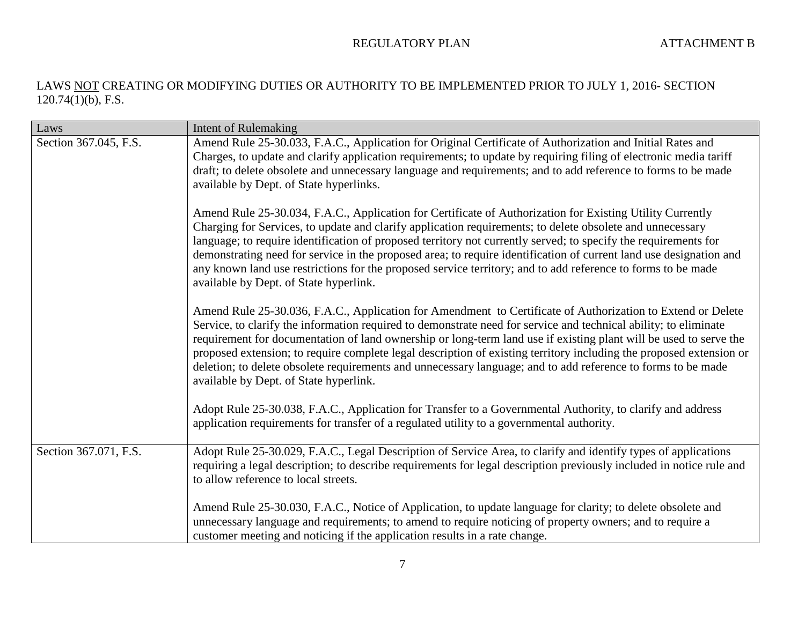| Laws                  | <b>Intent of Rulemaking</b>                                                                                                                                                                                                                                                                                                                                                                                                                                                                                                                                                                                                           |
|-----------------------|---------------------------------------------------------------------------------------------------------------------------------------------------------------------------------------------------------------------------------------------------------------------------------------------------------------------------------------------------------------------------------------------------------------------------------------------------------------------------------------------------------------------------------------------------------------------------------------------------------------------------------------|
| Section 367.045, F.S. | Amend Rule 25-30.033, F.A.C., Application for Original Certificate of Authorization and Initial Rates and<br>Charges, to update and clarify application requirements; to update by requiring filing of electronic media tariff<br>draft; to delete obsolete and unnecessary language and requirements; and to add reference to forms to be made<br>available by Dept. of State hyperlinks.                                                                                                                                                                                                                                            |
|                       | Amend Rule 25-30.034, F.A.C., Application for Certificate of Authorization for Existing Utility Currently<br>Charging for Services, to update and clarify application requirements; to delete obsolete and unnecessary<br>language; to require identification of proposed territory not currently served; to specify the requirements for<br>demonstrating need for service in the proposed area; to require identification of current land use designation and<br>any known land use restrictions for the proposed service territory; and to add reference to forms to be made<br>available by Dept. of State hyperlink.             |
|                       | Amend Rule 25-30.036, F.A.C., Application for Amendment to Certificate of Authorization to Extend or Delete<br>Service, to clarify the information required to demonstrate need for service and technical ability; to eliminate<br>requirement for documentation of land ownership or long-term land use if existing plant will be used to serve the<br>proposed extension; to require complete legal description of existing territory including the proposed extension or<br>deletion; to delete obsolete requirements and unnecessary language; and to add reference to forms to be made<br>available by Dept. of State hyperlink. |
|                       | Adopt Rule 25-30.038, F.A.C., Application for Transfer to a Governmental Authority, to clarify and address<br>application requirements for transfer of a regulated utility to a governmental authority.                                                                                                                                                                                                                                                                                                                                                                                                                               |
| Section 367.071, F.S. | Adopt Rule 25-30.029, F.A.C., Legal Description of Service Area, to clarify and identify types of applications<br>requiring a legal description; to describe requirements for legal description previously included in notice rule and<br>to allow reference to local streets.                                                                                                                                                                                                                                                                                                                                                        |
|                       | Amend Rule 25-30.030, F.A.C., Notice of Application, to update language for clarity; to delete obsolete and<br>unnecessary language and requirements; to amend to require noticing of property owners; and to require a<br>customer meeting and noticing if the application results in a rate change.                                                                                                                                                                                                                                                                                                                                 |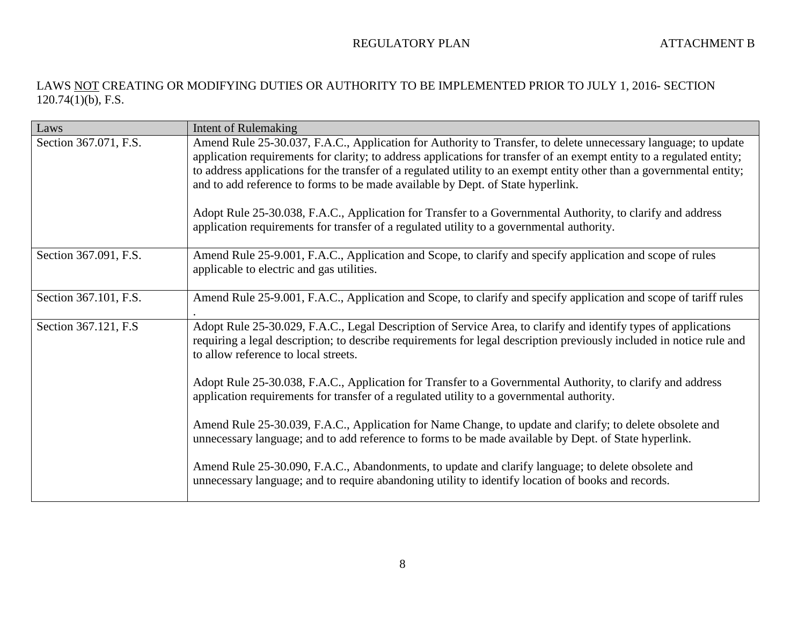| Laws                  | <b>Intent of Rulemaking</b>                                                                                                                                                                                                                                                                                                                                                                                                                                                                                                                                                                                                                                    |
|-----------------------|----------------------------------------------------------------------------------------------------------------------------------------------------------------------------------------------------------------------------------------------------------------------------------------------------------------------------------------------------------------------------------------------------------------------------------------------------------------------------------------------------------------------------------------------------------------------------------------------------------------------------------------------------------------|
| Section 367.071, F.S. | Amend Rule 25-30.037, F.A.C., Application for Authority to Transfer, to delete unnecessary language; to update<br>application requirements for clarity; to address applications for transfer of an exempt entity to a regulated entity;<br>to address applications for the transfer of a regulated utility to an exempt entity other than a governmental entity;<br>and to add reference to forms to be made available by Dept. of State hyperlink.<br>Adopt Rule 25-30.038, F.A.C., Application for Transfer to a Governmental Authority, to clarify and address<br>application requirements for transfer of a regulated utility to a governmental authority. |
| Section 367.091, F.S. | Amend Rule 25-9.001, F.A.C., Application and Scope, to clarify and specify application and scope of rules<br>applicable to electric and gas utilities.                                                                                                                                                                                                                                                                                                                                                                                                                                                                                                         |
| Section 367.101, F.S. | Amend Rule 25-9.001, F.A.C., Application and Scope, to clarify and specify application and scope of tariff rules                                                                                                                                                                                                                                                                                                                                                                                                                                                                                                                                               |
| Section 367.121, F.S. | Adopt Rule 25-30.029, F.A.C., Legal Description of Service Area, to clarify and identify types of applications<br>requiring a legal description; to describe requirements for legal description previously included in notice rule and<br>to allow reference to local streets.                                                                                                                                                                                                                                                                                                                                                                                 |
|                       | Adopt Rule 25-30.038, F.A.C., Application for Transfer to a Governmental Authority, to clarify and address<br>application requirements for transfer of a regulated utility to a governmental authority.                                                                                                                                                                                                                                                                                                                                                                                                                                                        |
|                       | Amend Rule 25-30.039, F.A.C., Application for Name Change, to update and clarify; to delete obsolete and<br>unnecessary language; and to add reference to forms to be made available by Dept. of State hyperlink.                                                                                                                                                                                                                                                                                                                                                                                                                                              |
|                       | Amend Rule 25-30.090, F.A.C., Abandonments, to update and clarify language; to delete obsolete and<br>unnecessary language; and to require abandoning utility to identify location of books and records.                                                                                                                                                                                                                                                                                                                                                                                                                                                       |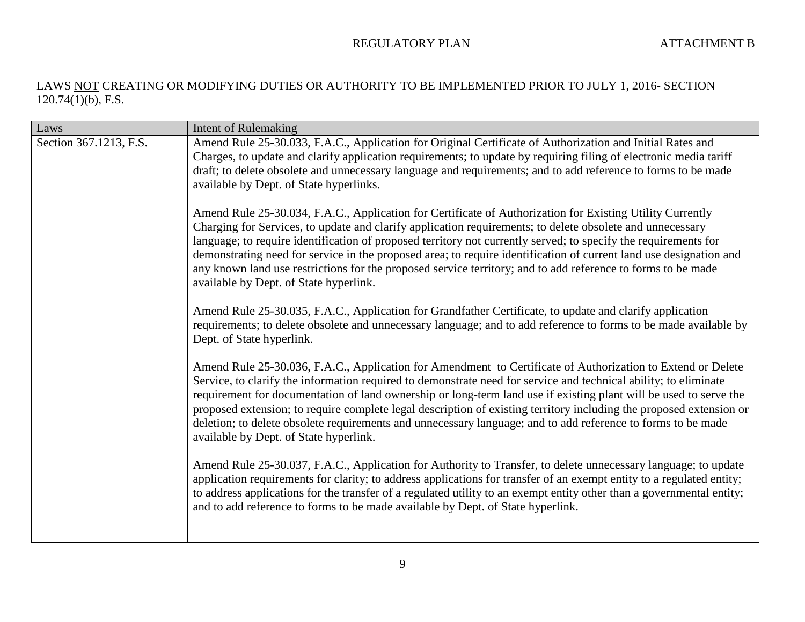| Laws                   | <b>Intent of Rulemaking</b>                                                                                                                                                                                                                                                                                                                                                                                                                                                                                                                                                                                                           |
|------------------------|---------------------------------------------------------------------------------------------------------------------------------------------------------------------------------------------------------------------------------------------------------------------------------------------------------------------------------------------------------------------------------------------------------------------------------------------------------------------------------------------------------------------------------------------------------------------------------------------------------------------------------------|
| Section 367.1213, F.S. | Amend Rule 25-30.033, F.A.C., Application for Original Certificate of Authorization and Initial Rates and<br>Charges, to update and clarify application requirements; to update by requiring filing of electronic media tariff<br>draft; to delete obsolete and unnecessary language and requirements; and to add reference to forms to be made<br>available by Dept. of State hyperlinks.                                                                                                                                                                                                                                            |
|                        | Amend Rule 25-30.034, F.A.C., Application for Certificate of Authorization for Existing Utility Currently<br>Charging for Services, to update and clarify application requirements; to delete obsolete and unnecessary<br>language; to require identification of proposed territory not currently served; to specify the requirements for<br>demonstrating need for service in the proposed area; to require identification of current land use designation and<br>any known land use restrictions for the proposed service territory; and to add reference to forms to be made<br>available by Dept. of State hyperlink.             |
|                        | Amend Rule 25-30.035, F.A.C., Application for Grandfather Certificate, to update and clarify application<br>requirements; to delete obsolete and unnecessary language; and to add reference to forms to be made available by<br>Dept. of State hyperlink.                                                                                                                                                                                                                                                                                                                                                                             |
|                        | Amend Rule 25-30.036, F.A.C., Application for Amendment to Certificate of Authorization to Extend or Delete<br>Service, to clarify the information required to demonstrate need for service and technical ability; to eliminate<br>requirement for documentation of land ownership or long-term land use if existing plant will be used to serve the<br>proposed extension; to require complete legal description of existing territory including the proposed extension or<br>deletion; to delete obsolete requirements and unnecessary language; and to add reference to forms to be made<br>available by Dept. of State hyperlink. |
|                        | Amend Rule 25-30.037, F.A.C., Application for Authority to Transfer, to delete unnecessary language; to update<br>application requirements for clarity; to address applications for transfer of an exempt entity to a regulated entity;<br>to address applications for the transfer of a regulated utility to an exempt entity other than a governmental entity;<br>and to add reference to forms to be made available by Dept. of State hyperlink.                                                                                                                                                                                   |